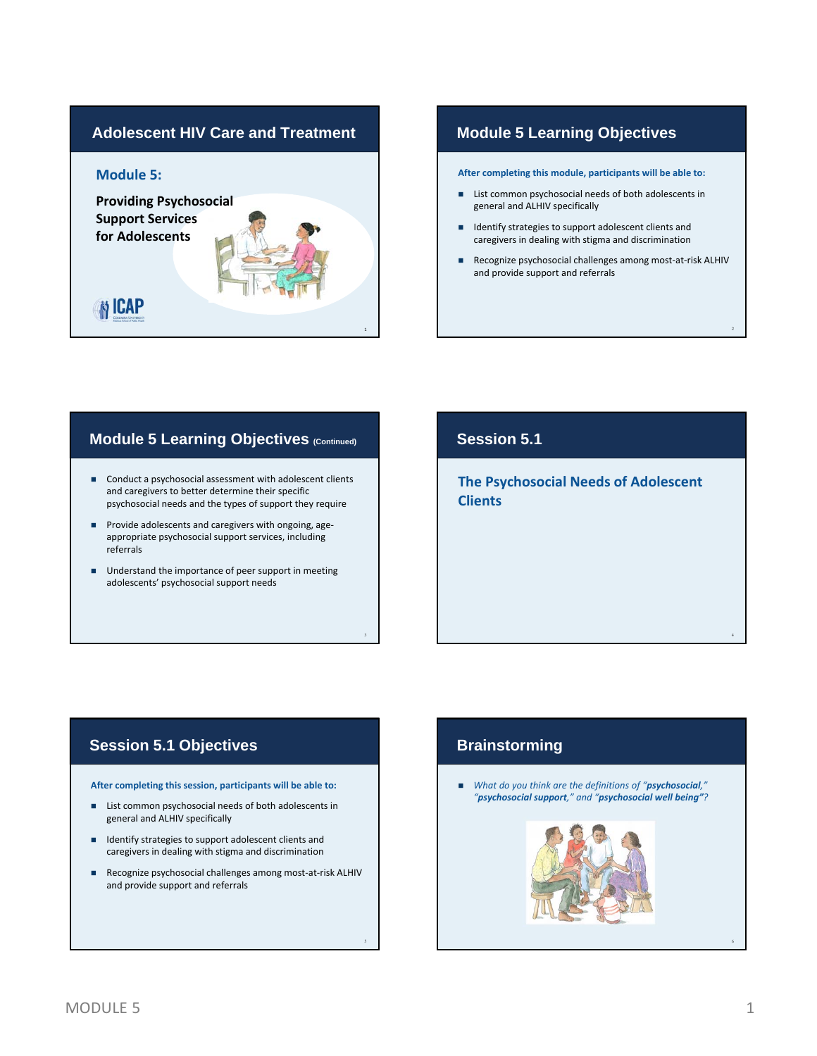# **Adolescent HIV Care and Treatment Module 5: Providing Psychosocial Support Services for Adolescents N** ICAP 1

#### **Module 5 Learning Objectives**

**After completing this module, participants will be able to:**

- List common psychosocial needs of both adolescents in general and ALHIV specifically
- Identify strategies to support adolescent clients and caregivers in dealing with stigma and discrimination
- Recognize psychosocial challenges among most-at-risk ALHIV and provide support and referrals

2

#### **Module 5 Learning Objectives (Continued)**

- Conduct a psychosocial assessment with adolescent clients and caregivers to better determine their specific psychosocial needs and the types of support they require
- Provide adolescents and caregivers with ongoing, ageappropriate psychosocial support services, including referrals
- Understand the importance of peer support in meeting adolescents' psychosocial support needs

## **Session 5.1**

**The Psychosocial Needs of Adolescent Clients**

#### **Session 5.1 Objectives Brainstorming**

**After completing this session, participants will be able to:**

- List common psychosocial needs of both adolescents in general and ALHIV specifically
- Identify strategies to support adolescent clients and caregivers in dealing with stigma and discrimination
- Recognize psychosocial challenges among most-at-risk ALHIV and provide support and referrals

 $\frac{3}{4}$ 

 *What do you think are the definitions of "psychosocial," "psychosocial support," and "psychosocial well being"?*

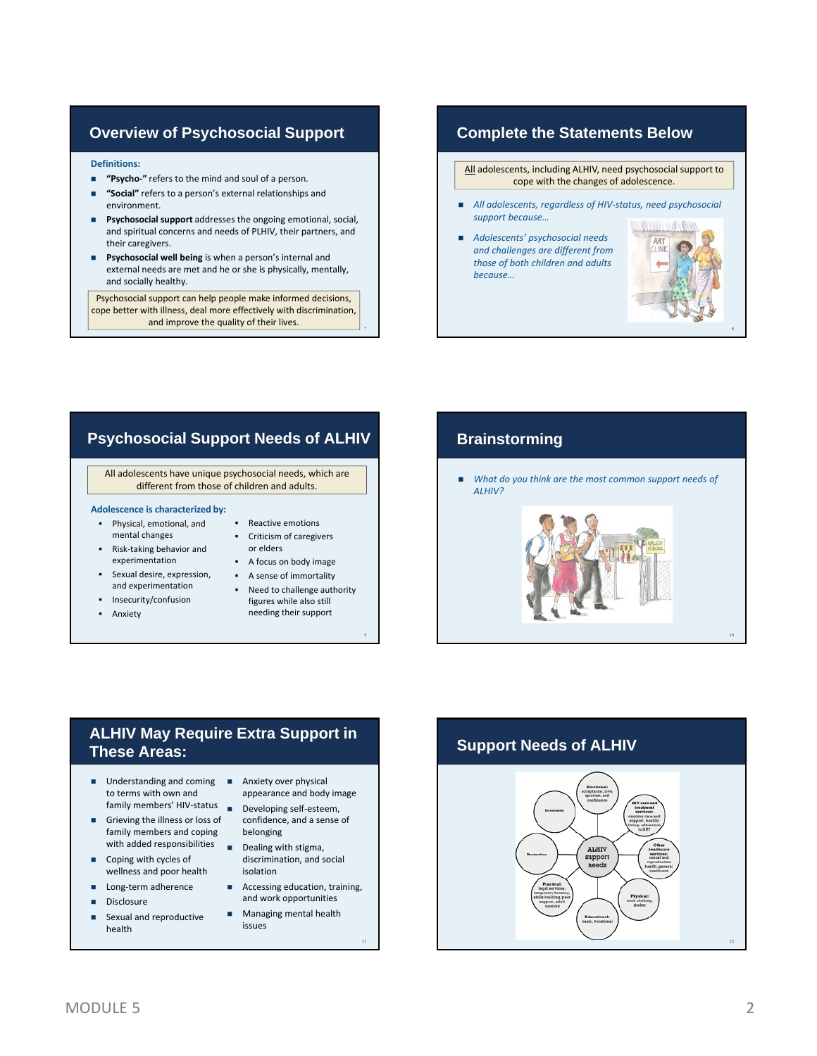#### **Overview of Psychosocial Support**

#### **Definitions:**

- **"Psycho‐"** refers to the mind and soul of a person.
- **"Social"** refers to a person's external relationships and environment.
- **Psychosocial support** addresses the ongoing emotional, social, and spiritual concerns and needs of PLHIV, their partners, and their caregivers.
- **Psychosocial well being** is when a person's internal and external needs are met and he or she is physically, mentally, and socially healthy.

Psychosocial support can help people make informed decisions, cope better with illness, deal more effectively with discrimination, and improve the quality of their lives.

#### **Complete the Statements Below**

All adolescents, including ALHIV, need psychosocial support to cope with the changes of adolescence.

- *All adolescents, regardless of HIV‐status, need psychosocial support because…*
- **Adolescents' psychosocial needs** *and challenges are different from those of both children and adults because…*



### **Psychosocial Support Needs of ALHIV**

All adolescents have unique psychosocial needs, which are different from those of children and adults.

#### **Adolescence is characterized by:**

- Physical, emotional, and mental changes
- Risk‐taking behavior and experimentation
- Sexual desire, expression, and experimentation
- **Insecurity/confusion**
- **Anxiety**
- **Criticism of caregivers** or elders

• Reactive emotions

- A focus on body image
- A sense of immortality
- Need to challenge authority figures while also still needing their support

9

7

#### **Brainstorming**

 *What do you think are the most common support needs of ALHIV?*



#### **ALHIV May Require Extra Support in These Areas:**

- Understanding and coming Anxiety over physical to terms with own and
- Grieving the illness or loss of family members and coping
- Coping with cycles of wellness and poor health
- Long‐term adherence
- **Disclosure**
- Sexual and reproductive health
- appearance and body image
- family members' HIV‐status Developing self‐esteem, confidence, and a sense of belonging
- with added responsibilities Dealing with stigma, discrimination, and social isolation
	- **Accessing education, training,** and work opportunities
	- **Managing mental health** issues

## **Support Needs of ALHIV**

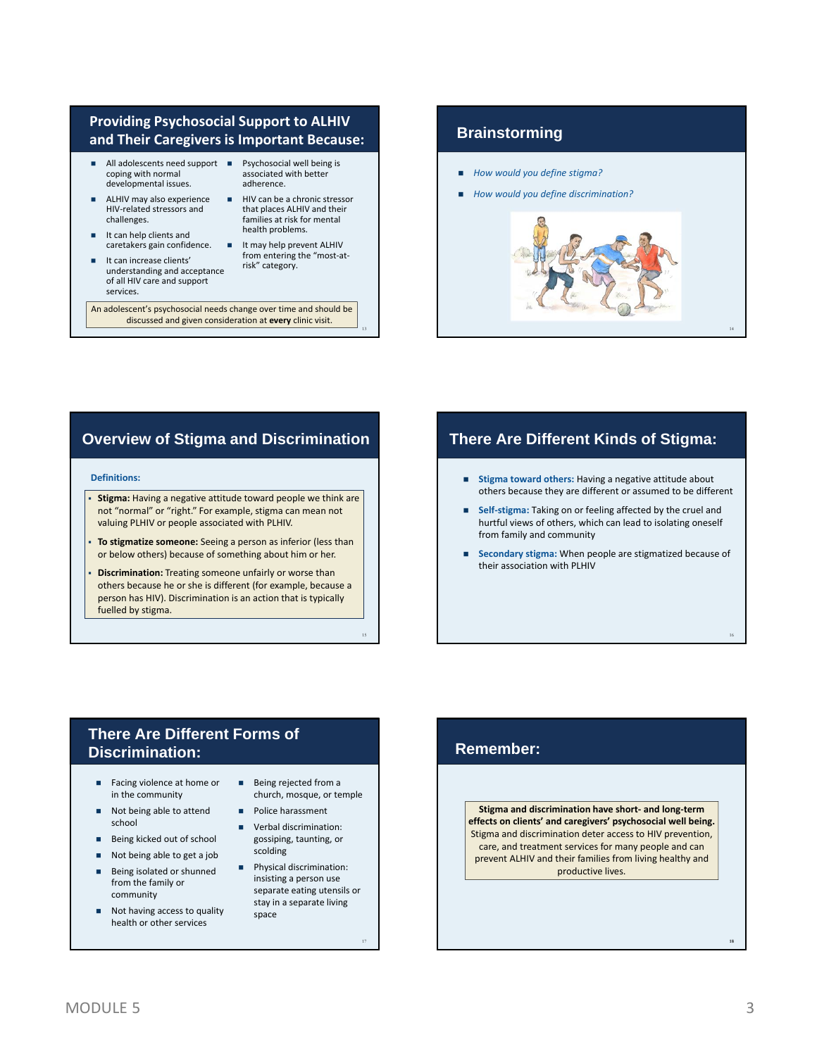#### **Providing Psychosocial Support to ALHIV and Their Caregivers is Important Because:**

- All adolescents need support Psychosocial well being is coping with normal developmental issues.
- ALHIV may also experience HIV‐related stressors and challenges.
- It can help clients and caretakers gain confidence.
- It can increase clients' understanding and acceptance of all HIV care and support services.
- associated with better adherence.
- $HIV$  can be a chronic stressor that places ALHIV and their families at risk for mental health problems.
	- It may help prevent ALHIV from entering the "most‐at‐ risk" category.

13

15

An adolescent's psychosocial needs change over time and should be discussed and given consideration at **every** clinic visit.

#### **Brainstorming**

- *How would you define stigma?*
- *How would you define discrimination?*



#### **Overview of Stigma and Discrimination**

#### **Definitions:**

- **Stigma:** Having a negative attitude toward people we think are not "normal" or "right." For example, stigma can mean not valuing PLHIV or people associated with PLHIV.
- **To stigmatize someone:** Seeing a person as inferior (less than or below others) because of something about him or her.
- **Discrimination:** Treating someone unfairly or worse than others because he or she is different (for example, because a person has HIV). Discrimination is an action that is typically fuelled by stigma.

## **There Are Different Kinds of Stigma:**

- **Stigma toward others:** Having a negative attitude about others because they are different or assumed to be different
- **Self‐stigma:** Taking on or feeling affected by the cruel and hurtful views of others, which can lead to isolating oneself from family and community
- **Secondary stigma:** When people are stigmatized because of their association with PLHIV

## **There Are Different Forms of Discrimination:**

- Facing violence at home or in the community
- Not being able to attend school
- Being kicked out of school
- Not being able to get a job
- Being isolated or shunned from the family or community
- Not having access to quality health or other services
- Being rejected from a church, mosque, or temple
- **Police harassment**
- **verbal discrimination:** gossiping, taunting, or scolding
- **Physical discrimination:** insisting a person use separate eating utensils or stay in a separate living space

## **Remember:**

**Stigma and discrimination have short‐ and long‐term effects on clients' and caregivers' psychosocial well being.** Stigma and discrimination deter access to HIV prevention, care, and treatment services for many people and can prevent ALHIV and their families from living healthy and productive lives.

18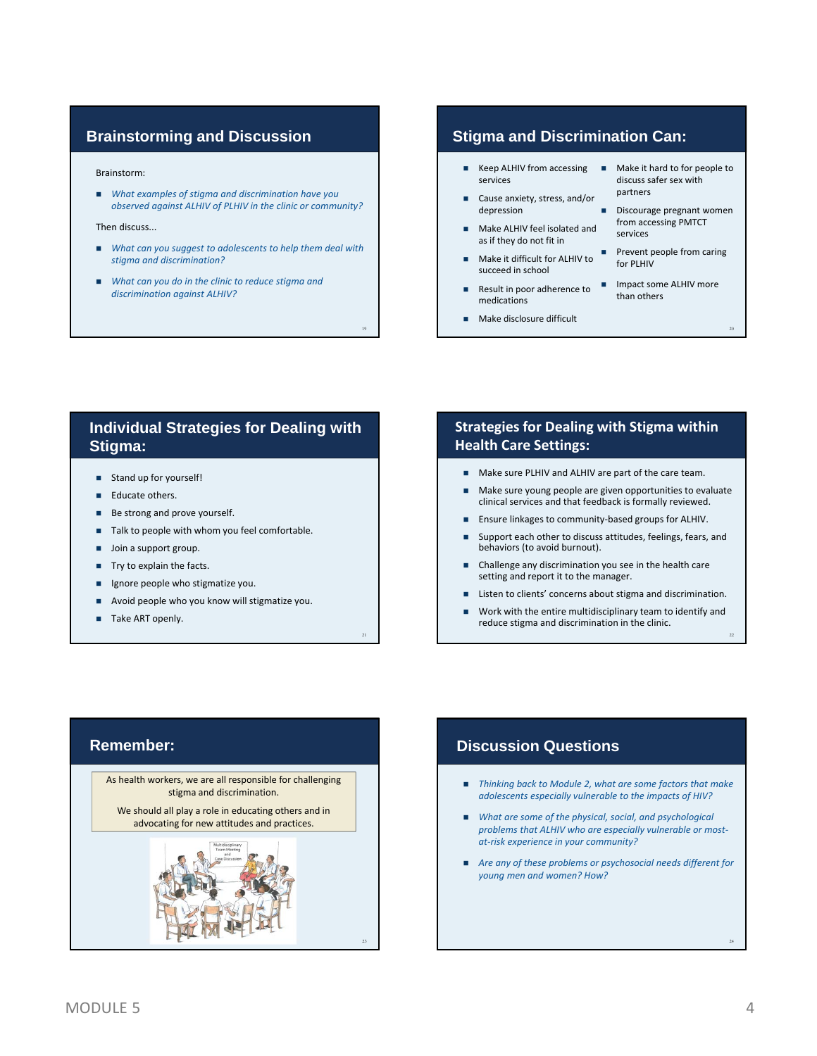#### **Brainstorming and Discussion**

#### Brainstorm:

 *What examples of stigma and discrimination have you observed against ALHIV of PLHIV in the clinic or community?*

Then discuss...

 *What can you suggest to adolescents to help them deal with stigma and discrimination?*

19

21

 *What can you do in the clinic to reduce stigma and discrimination against ALHIV?*

#### **Stigma and Discrimination Can:**

- Keep ALHIV from accessing services
- Cause anxiety, stress, and/or depression
- Make ALHIV feel isolated and as if they do not fit in
- $\blacksquare$  Make it difficult for ALHIV to  $\blacksquare$ succeed in school
- medications
- **Make disclosure difficult**
- **Make it hard to for people to** discuss safer sex with partners
- Discourage pregnant women from accessing PMTCT services
- Prevent people from caring for PLHIV
- Result in poor adherence to Impact some ALHIV more than others

20

22

- 
- 

#### **Individual Strategies for Dealing with Stigma:**

- Stand up for yourself!
- Educate others.
- Be strong and prove yourself.
- Talk to people with whom you feel comfortable.
- **Join a support group.**
- Try to explain the facts.
- Ignore people who stigmatize you.
- Avoid people who you know will stigmatize you.
- Take ART openly.

#### **Strategies for Dealing with Stigma within Health Care Settings:**

- Make sure PLHIV and ALHIV are part of the care team.
- Make sure young people are given opportunities to evaluate clinical services and that feedback is formally reviewed.
- Ensure linkages to community‐based groups for ALHIV.
- Support each other to discuss attitudes, feelings, fears, and behaviors (to avoid burnout).
- Challenge any discrimination you see in the health care setting and report it to the manager.
- Listen to clients' concerns about stigma and discrimination.
- Work with the entire multidisciplinary team to identify and reduce stigma and discrimination in the clinic.

#### **Remember:**

As health workers, we are all responsible for challenging stigma and discrimination.

We should all play a role in educating others and in advocating for new attitudes and practices.



#### **Discussion Questions**

- *Thinking back to Module 2, what are some factors that make adolescents especially vulnerable to the impacts of HIV?*
- *What are some of the physical, social, and psychological problems that ALHIV who are especially vulnerable or most‐ at‐risk experience in your community?*
- *Are any of these problems or psychosocial needs different for young men and women? How?*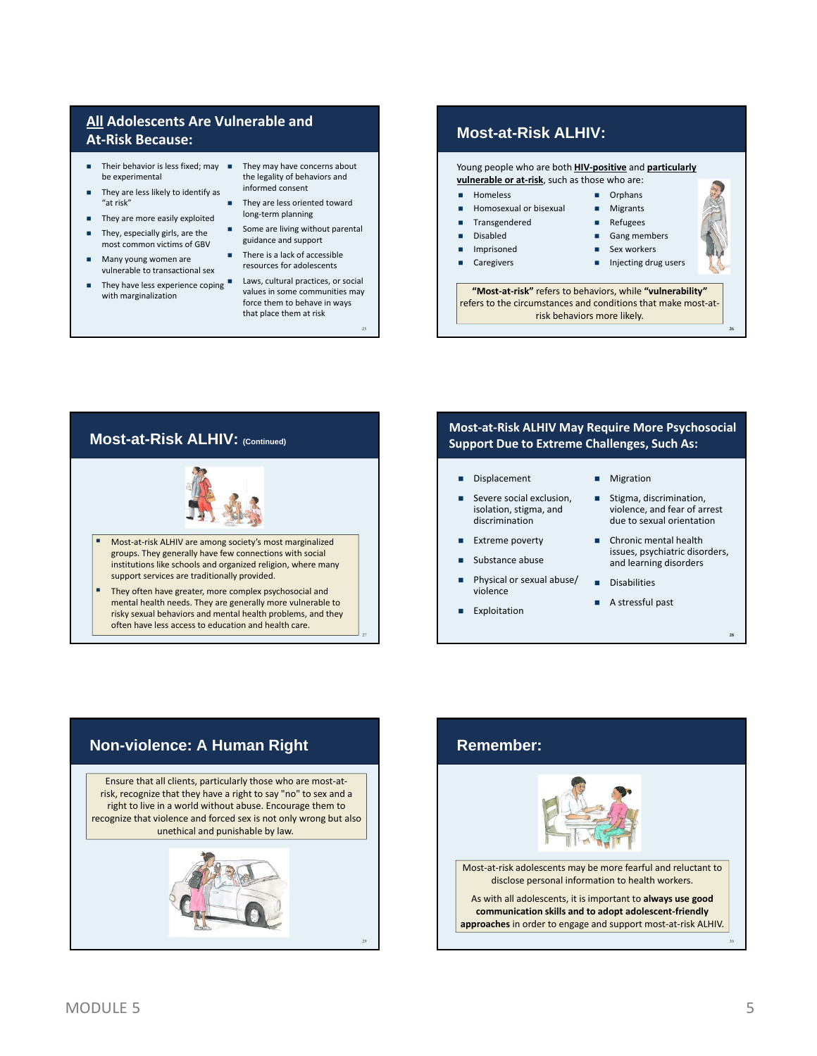#### **All Adolescents Are Vulnerable and At‐Risk Because:**

- Their behavior is less fixed; may  $\blacksquare$ be experimental
- They are less likely to identify as "at risk"
- They are more easily exploited
- They, especially girls, are the most common victims of GBV
- **Many young women are** vulnerable to transactional sex
- They have less experience coping with marginalization
- They may have concerns about the legality of behaviors and informed consent
- They are less oriented toward long‐term planning
- Some are living without parental guidance and support
- $\blacksquare$  There is a lack of accessible resources for adolescents
- Laws, cultural practices, or social values in some communities may force them to behave in ways that place them at risk

25

#### **Most-at-Risk ALHIV:**

Young people who are both **HIV‐positive** and **particularly vulnerable or at‐risk**, such as those who are:

- Homeless
- Homosexual or bisexual
- Transgendered Disabled
- Imprisoned
- 
- Refugees
- 
- 
- Caregivers
- Gang members

**D** Orphans **Migrants** 

- Sex workers
- 
- 
- 
- **Injecting drug users**

26

28

**"Most‐at‐risk"** refers to behaviors, while **"vulnerability"** refers to the circumstances and conditions that make most‐at‐ risk behaviors more likely.



#### **Most‐at‐Risk ALHIV May Require More Psychosocial Support Due to Extreme Challenges, Such As:**

#### Displacement **Migration**

- Severe social exclusion, isolation, stigma, and discrimination
- **Extreme poverty**
- Substance abuse
- Physical or sexual abuse/ violence
- **Exploitation**
- 
- Stigma, discrimination, violence, and fear of arrest due to sexual orientation
- Chronic mental health issues, psychiatric disorders, and learning disorders
- **Disabilities**
- A stressful past



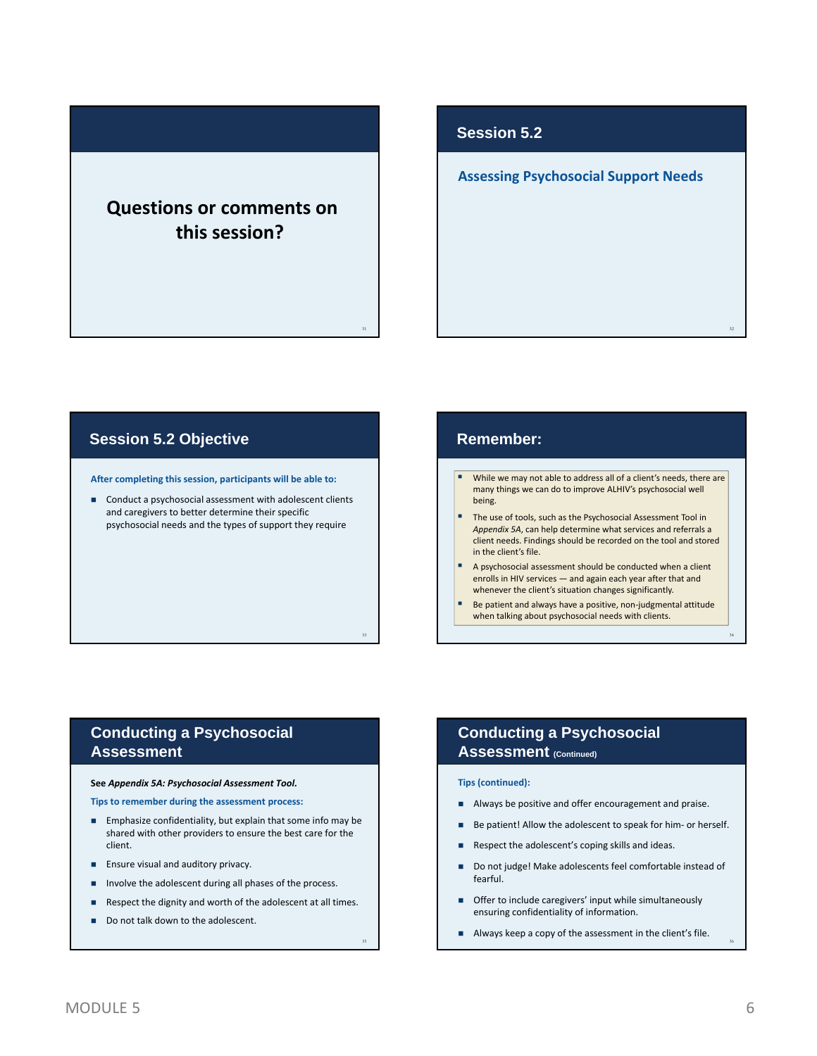# **Questions or comments on this session?**

#### **Session 5.2**

#### **Assessing Psychosocial Support Needs**

#### **Session 5.2 Objective**

**After completing this session, participants will be able to:**

■ Conduct a psychosocial assessment with adolescent clients and caregivers to better determine their specific psychosocial needs and the types of support they require

#### **Remember:**

31

33

35

- While we may not able to address all of a client's needs, there are many things we can do to improve ALHIV's psychosocial well being.
- The use of tools, such as the Psychosocial Assessment Tool in *Appendix 5A*, can help determine what services and referrals a client needs. Findings should be recorded on the tool and stored in the client's file.
- A psychosocial assessment should be conducted when a client enrolls in HIV services — and again each year after that and whenever the client's situation changes significantly.
- Be patient and always have a positive, non‐judgmental attitude when talking about psychosocial needs with clients.

#### **Conducting a Psychosocial Assessment**

#### **See** *Appendix 5A: Psychosocial Assessment Tool.*

**Tips to remember during the assessment process:**

- **Emphasize confidentiality, but explain that some info may be** shared with other providers to ensure the best care for the client.
- **Ensure visual and auditory privacy.**
- **Involve the adolescent during all phases of the process.**
- Respect the dignity and worth of the adolescent at all times.
- Do not talk down to the adolescent.

#### **Conducting a Psychosocial Assessment (Continued)**

#### **Tips (continued):**

- Always be positive and offer encouragement and praise.
- Be patient! Allow the adolescent to speak for him- or herself.
- Respect the adolescent's coping skills and ideas.
- Do not judge! Make adolescents feel comfortable instead of fearful.
- **Offer to include caregivers' input while simultaneously** ensuring confidentiality of information.
- Always keep a copy of the assessment in the client's file.

36

32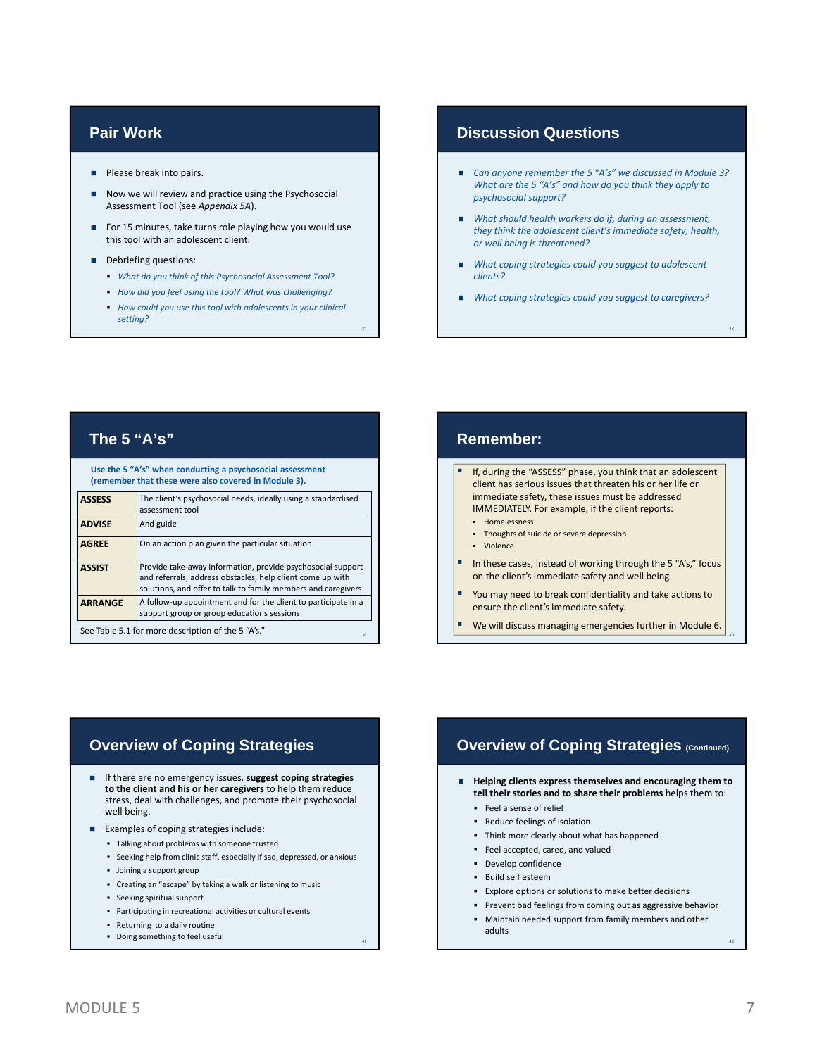#### **Pair Work**

- **Please break into pairs.**
- Now we will review and practice using the Psychosocial Assessment Tool (see *Appendix 5A*).
- For 15 minutes, take turns role playing how you would use this tool with an adolescent client.
- Debriefing questions:
	- *What do you think of this Psychosocial Assessment Tool?*
	- *How did you feel using the tool? What was challenging?*
	- *How could you use this tool with adolescents in your clinical setting?*

37

#### **Discussion Questions**

- *Can anyone remember the 5 "A's" we discussed in Module 3? What are the 5 "A's" and how do you think they apply to psychosocial support?*
- *What should health workers do if, during an assessment, they think the adolescent client's immediate safety, health, or well being is threatened?*
- *What coping strategies could you suggest to adolescent clients?*
- *What coping strategies could you suggest to caregivers?*

#### **The 5 "A's"**

**Use the 5 "A's" when conducting a psychosocial assessment (remember that these were also covered in Module 3).**

| <u>UCHICHINGI UIGUUICSE WEIG AISO COVEIGU III MOUUIG JI.</u> |                                                                                                                                                                                            |
|--------------------------------------------------------------|--------------------------------------------------------------------------------------------------------------------------------------------------------------------------------------------|
| <b>ASSESS</b>                                                | The client's psychosocial needs, ideally using a standardised<br>assessment tool                                                                                                           |
| <b>ADVISE</b>                                                | And guide                                                                                                                                                                                  |
| <b>AGREE</b>                                                 | On an action plan given the particular situation                                                                                                                                           |
| <b>ASSIST</b>                                                | Provide take-away information, provide psychosocial support<br>and referrals, address obstacles, help client come up with<br>solutions, and offer to talk to family members and caregivers |
| <b>ARRANGE</b>                                               | A follow-up appointment and for the client to participate in a<br>support group or group educations sessions                                                                               |
| See Table 5.1 for more description of the 5 "A's."<br>39     |                                                                                                                                                                                            |

#### **Remember:** If, during the "ASSESS" phase, you think that an adolescent client has serious issues that threaten his or her life or immediate safety, these issues must be addressed IMMEDIATELY. For example, if the client reports: **-** Homelessness Thoughts of suicide or severe depression Violence

- In these cases, instead of working through the 5 "A's," focus on the client's immediate safety and well being.
- You may need to break confidentiality and take actions to ensure the client's immediate safety.
- We will discuss managing emergencies further in Module 6.

## **Overview of Coping Strategies**

- If there are no emergency issues, **suggest coping strategies to the client and his or her caregivers** to help them reduce stress, deal with challenges, and promote their psychosocial well being.
- **Examples of coping strategies include:** 
	- Talking about problems with someone trusted
	- Seeking help from clinic staff, especially if sad, depressed, or anxious
	- Joining a support group
	- Creating an "escape" by taking a walk or listening to music
	- Seeking spiritual support
	- Participating in recreational activities or cultural events
	- Returning to a daily routine
	- Doing something to feel useful <sup>41</sup>

#### **Overview of Coping Strategies (Continued)**

- **Helping clients express themselves and encouraging them to tell their stories and to share their problems** helps them to:
	- Feel a sense of relief Reduce feelings of isolation
	-
	- Think more clearly about what has happened
	- Feel accepted, cared, and valued
	- Develop confidence
	- Build self esteem
	- Explore options or solutions to make better decisions
	- Prevent bad feelings from coming out as aggressive behavior
	- Maintain needed support from family members and other adults

42

38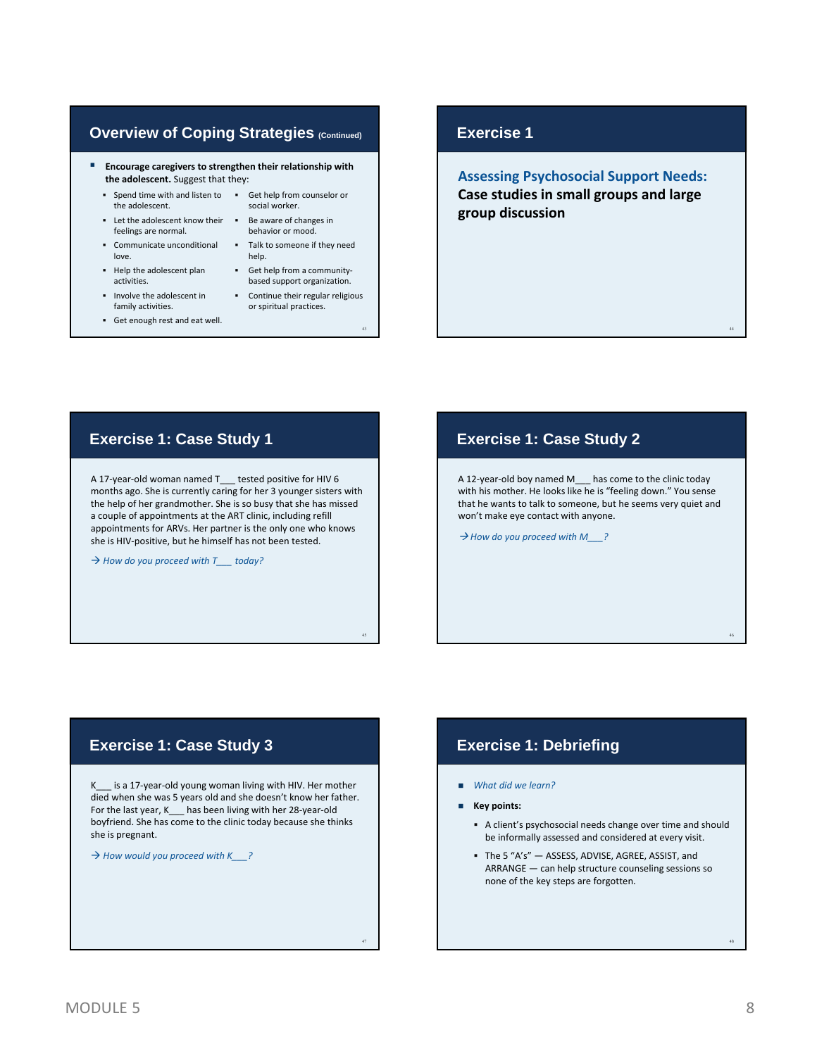#### **Overview of Coping Strategies (Continued)**

 **Encourage caregivers to strengthen their relationship with the adolescent.** Suggest that they:

> social worker. behavior or mood.

■ Get help from a communitybased support organization. Continue their regular religious or spiritual practices.

43

45

47

help.

- Spend time with and listen to Get help from counselor or the adolescent.
- **EXECUTE:** Let the adolescent know their **FILE** Be aware of changes in feelings are normal.
- Communicate unconditional Talk to someone if they need love.
- Help the adolescent plan activities.
- Involve the adolescent in family activities.
- Get enough rest and eat well.

#### **Exercise 1**

**Assessing Psychosocial Support Needs: Case studies in small groups and large group discussion**

#### **Exercise 1: Case Study 1**

A 17‐year‐old woman named T\_\_\_ tested positive for HIV 6 months ago. She is currently caring for her 3 younger sisters with the help of her grandmother. She is so busy that she has missed a couple of appointments at the ART clinic, including refill appointments for ARVs. Her partner is the only one who knows she is HIV‐positive, but he himself has not been tested.

→ *How do you proceed with*  $T$  *today?* 

#### **Exercise 1: Case Study 2**

A 12‐year‐old boy named M\_\_\_ has come to the clinic today with his mother. He looks like he is "feeling down." You sense that he wants to talk to someone, but he seems very quiet and won't make eye contact with anyone.

*How do you proceed with M\_\_\_?*

#### **Exercise 1: Case Study 3**

K\_\_\_ is a 17-year-old young woman living with HIV. Her mother died when she was 5 years old and she doesn't know her father. For the last year, K\_\_\_ has been living with her 28-year-old boyfriend. She has come to the clinic today because she thinks she is pregnant.

*How would you proceed with K\_\_\_?*

#### **Exercise 1: Debriefing**

- *What did we learn?*
- **Key points:**
	- A client's psychosocial needs change over time and should be informally assessed and considered at every visit.
	- The 5 "A's" ASSESS, ADVISE, AGREE, ASSIST, and ARRANGE — can help structure counseling sessions so none of the key steps are forgotten.

48

44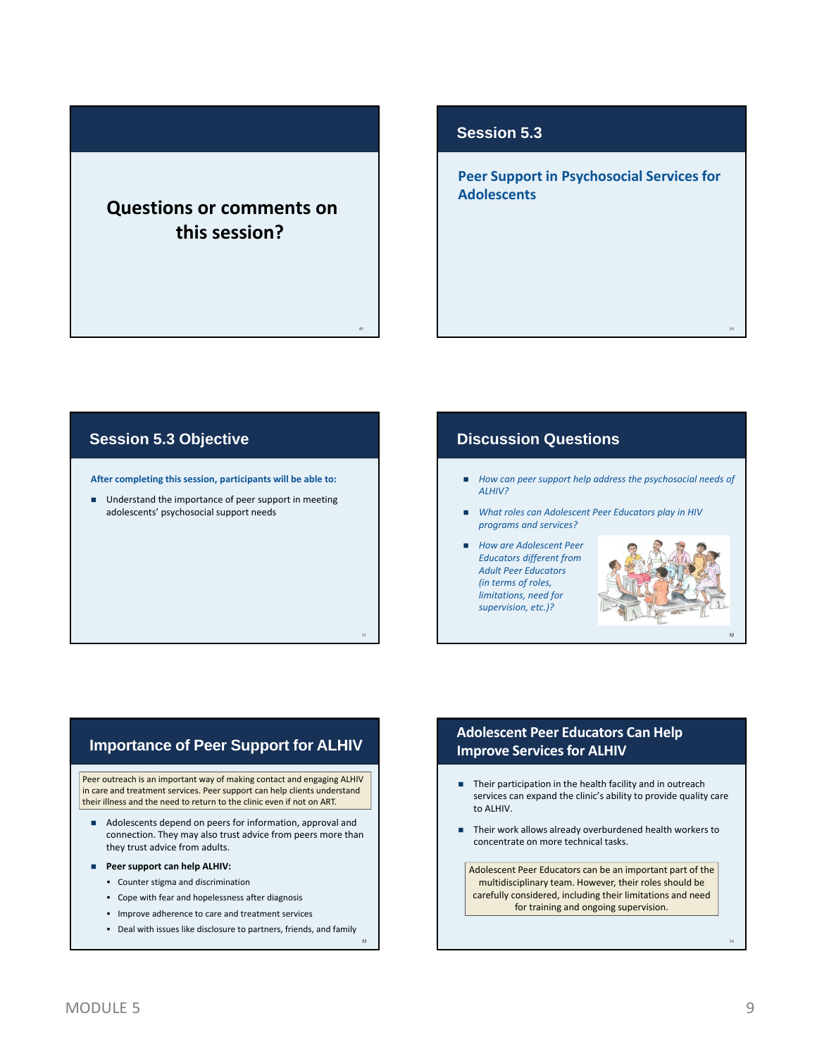# **Questions or comments on this session?**

49

53

#### **Session 5.3**

**Peer Support in Psychosocial Services for Adolescents**

#### **Session 5.3 Objective**

**After completing this session, participants will be able to:**

■ Understand the importance of peer support in meeting adolescents' psychosocial support needs

#### **Discussion Questions**

- *How can peer support help address the psychosocial needs of ALHIV?*
- *What roles can Adolescent Peer Educators play in HIV programs and services?*
- *How are Adolescent Peer Educators different from Adult Peer Educators (in terms of roles, limitations, need for supervision, etc.)?*



50

#### **Importance of Peer Support for ALHIV**

Peer outreach is an important way of making contact and engaging ALHIV in care and treatment services. Peer support can help clients understand their illness and the need to return to the clinic even if not on ART.

- Adolescents depend on peers for information, approval and connection. They may also trust advice from peers more than they trust advice from adults.
- **Peer support can help ALHIV:**
	- Counter stigma and discrimination
	- Cope with fear and hopelessness after diagnosis
	- **IMPROVE adherence to care and treatment services**
	- Deal with issues like disclosure to partners, friends, and family

#### **Adolescent Peer Educators Can Help Improve Services for ALHIV**

- Their participation in the health facility and in outreach services can expand the clinic's ability to provide quality care to ALHIV.
- Their work allows already overburdened health workers to concentrate on more technical tasks.

Adolescent Peer Educators can be an important part of the multidisciplinary team. However, their roles should be carefully considered, including their limitations and need for training and ongoing supervision.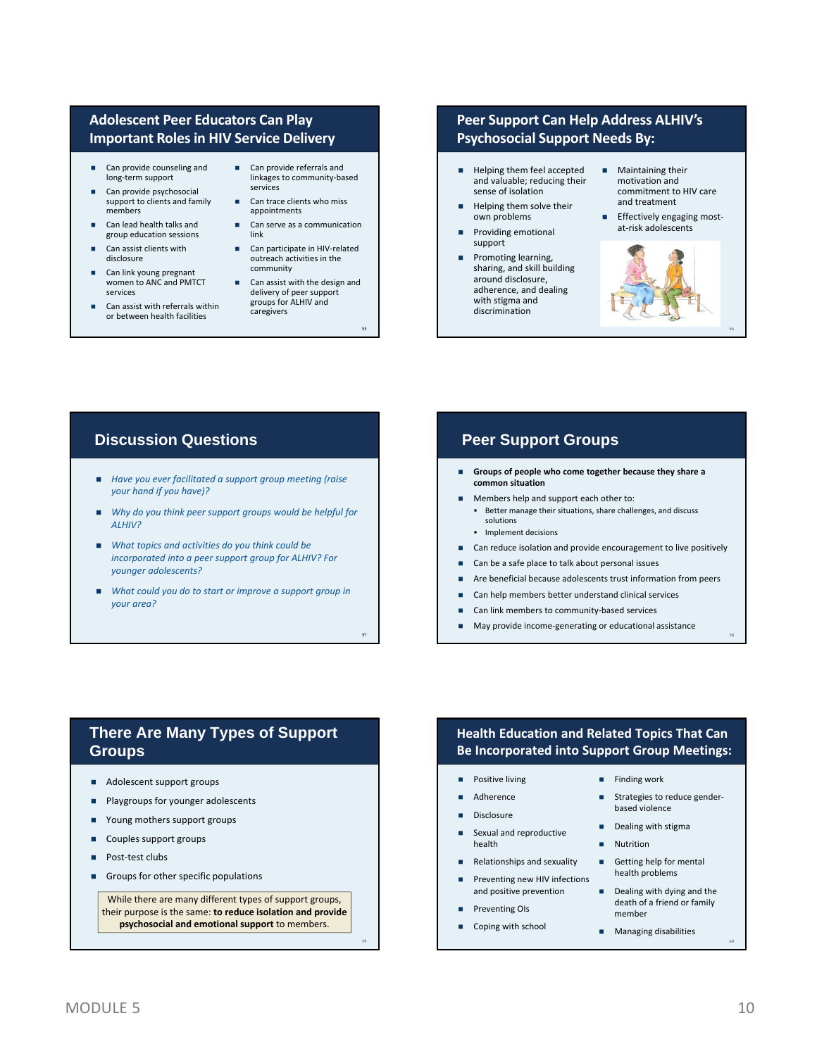#### **Adolescent Peer Educators Can Play Important Rolesin HIV Service Delivery**

- Can provide counseling and long‐term support
- Can provide psychosocial support to clients and family members
- Can lead health talks and group education sessions
- Can assist clients with disclosure
- Can link young pregnant women to ANC and PMTCT services
- Can assist with referrals within or between health facilities
- Can provide referrals and linkages to community‐based services
- Can trace clients who miss appointments
- Can serve as a communication link
- Can participate in HIV‐related outreach activities in the community
- Can assist with the design and delivery of peer support groups for ALHIV and caregivers

55

57

59

### **Peer Support Can Help Address ALHIV's Psychosocial Support Needs By:**

- Helping them feel accepted and valuable; reducing their sense of isolation
- Helping them solve their own problems
- Providing emotional support
- Promoting learning, sharing, and skill building around disclosure, adherence, and dealing with stigma and discrimination
- **Maintaining their** motivation and commitment to HIV care and treatment
- Effectively engaging mostat‐risk adolescents



#### **Discussion Questions**

- *Have you ever facilitated a support group meeting (raise your hand if you have)?*
- *Why do you think peer support groups would be helpful for ALHIV?*
- *What topics and activities do you think could be incorporated into a peer support group for ALHIV? For younger adolescents?*
- *What could you do to start or improve a support group in your area?*

#### **Peer Support Groups**

- **Groups of people who come together because they share a common situation**
- Members help and support each other to: Better manage their situations, share challenges, and discuss solutions
	- **Implement decisions**
- Can reduce isolation and provide encouragement to live positively
- Can be a safe place to talk about personal issues
- Are beneficial because adolescents trust information from peers
- Can help members better understand clinical services
- Can link members to community‐based services
- May provide income‐generating or educational assistance

#### **There Are Many Types of Support Groups**

- Adolescent support groups
- **Playgroups for younger adolescents**
- Young mothers support groups
- Couples support groups
- Post-test clubs
- Groups for other specific populations

While there are many different types of support groups, their purpose is the same: **to reduce isolation and provide psychosocial and emotional support** to members.

#### **Health Education and Related Topics That Can Be Incorporated into Support Group Meetings:**

- **Positive living**
- Adherence
- **Disclosure**
- Sexual and reproductive health
- Relationships and sexuality
- Preventing new HIV infections and positive prevention
- Preventing OIs
- Coping with school
- $\blacksquare$  Finding work
- Strategies to reduce genderbased violence
- Dealing with stigma
- **Nutrition**
- Getting help for mental health problems
- Dealing with dying and the death of a friend or family member
- **Managing disabilities**

60